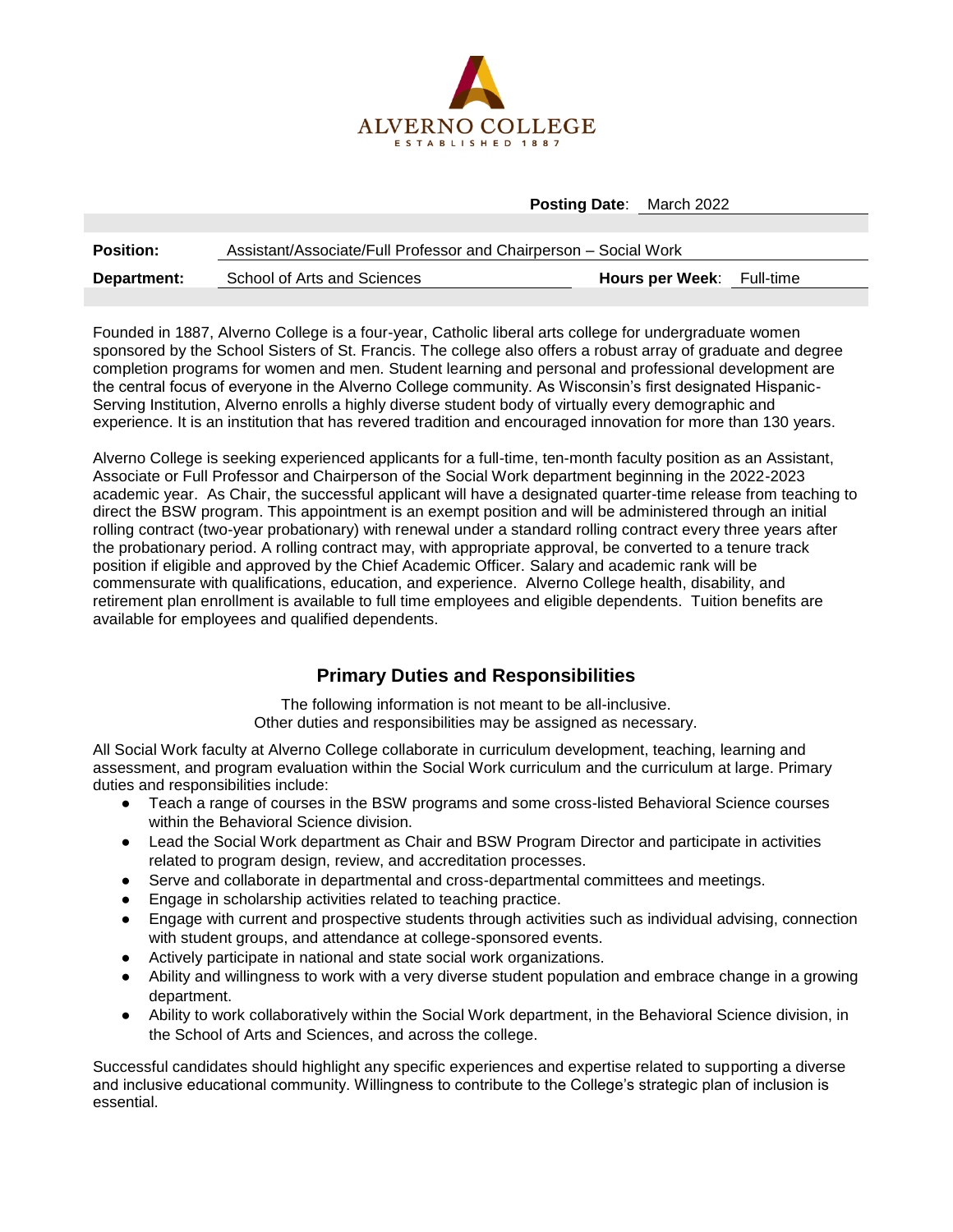

**Posting Date**: March 2022

| <b>Position:</b> | Assistant/Associate/Full Professor and Chairperson - Social Work |                                  |  |
|------------------|------------------------------------------------------------------|----------------------------------|--|
| Department:      | School of Arts and Sciences                                      | <b>Hours per Week:</b> Full-time |  |

Founded in 1887, Alverno College is a four-year, Catholic liberal arts college for undergraduate women sponsored by the School Sisters of St. Francis. The college also offers a robust array of graduate and degree completion programs for women and men. Student learning and personal and professional development are the central focus of everyone in the Alverno College community. As Wisconsin's first designated Hispanic-Serving Institution, Alverno enrolls a highly diverse student body of virtually every demographic and experience. It is an institution that has revered tradition and encouraged innovation for more than 130 years.

Alverno College is seeking experienced applicants for a full-time, ten-month faculty position as an Assistant, Associate or Full Professor and Chairperson of the Social Work department beginning in the 2022-2023 academic year. As Chair, the successful applicant will have a designated quarter-time release from teaching to direct the BSW program. This appointment is an exempt position and will be administered through an initial rolling contract (two-year probationary) with renewal under a standard rolling contract every three years after the probationary period. A rolling contract may, with appropriate approval, be converted to a tenure track position if eligible and approved by the Chief Academic Officer. Salary and academic rank will be commensurate with qualifications, education, and experience. Alverno College health, disability, and retirement plan enrollment is available to full time employees and eligible dependents. Tuition benefits are available for employees and qualified dependents.

## **Primary Duties and Responsibilities**

The following information is not meant to be all-inclusive. Other duties and responsibilities may be assigned as necessary.

All Social Work faculty at Alverno College collaborate in curriculum development, teaching, learning and assessment, and program evaluation within the Social Work curriculum and the curriculum at large. Primary duties and responsibilities include:

- Teach a range of courses in the BSW programs and some cross-listed Behavioral Science courses within the Behavioral Science division.
- Lead the Social Work department as Chair and BSW Program Director and participate in activities related to program design, review, and accreditation processes.
- Serve and collaborate in departmental and cross-departmental committees and meetings.
- Engage in scholarship activities related to teaching practice.
- Engage with current and prospective students through activities such as individual advising, connection with student groups, and attendance at college-sponsored events.
- Actively participate in national and state social work organizations.
- Ability and willingness to work with a very diverse student population and embrace change in a growing department.
- Ability to work collaboratively within the Social Work department, in the Behavioral Science division, in the School of Arts and Sciences, and across the college.

Successful candidates should highlight any specific experiences and expertise related to supporting a diverse and inclusive educational community. Willingness to contribute to the College's strategic plan of inclusion is essential.